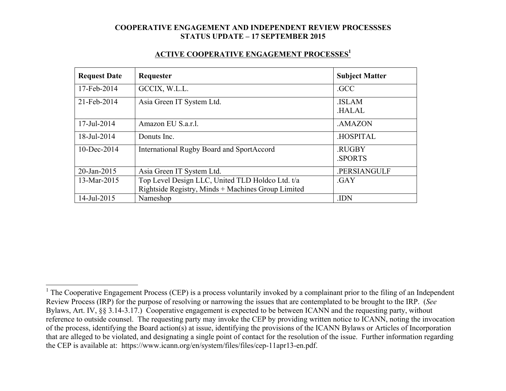#### **ACTIVE COOPERATIVE ENGAGEMENT PROCESSES1**

| <b>Request Date</b> | Requester                                                                                              | <b>Subject Matter</b>        |
|---------------------|--------------------------------------------------------------------------------------------------------|------------------------------|
| 17-Feb-2014         | GCCIX, W.L.L.                                                                                          | .GCC                         |
| 21-Feb-2014         | Asia Green IT System Ltd.                                                                              | <b>ISLAM</b><br><b>HALAL</b> |
| 17-Jul-2014         | Amazon EU S.a.r.l.                                                                                     | .AMAZON                      |
| 18-Jul-2014         | Donuts Inc.                                                                                            | <b>HOSPITAL</b>              |
| $10$ -Dec-2014      | International Rugby Board and SportAccord                                                              | .RUGBY<br><b>SPORTS</b>      |
| 20-Jan-2015         | Asia Green IT System Ltd.                                                                              | .PERSIANGULF                 |
| 13-Mar-2015         | Top Level Design LLC, United TLD Holdco Ltd. t/a<br>Rightside Registry, Minds + Machines Group Limited | .GAY                         |
| 14-Jul-2015         | Nameshop                                                                                               | .IDN                         |

<sup>&</sup>lt;sup>1</sup> The Cooperative Engagement Process (CEP) is a process voluntarily invoked by a complainant prior to the filing of an Independent Review Process (IRP) for the purpose of resolving or narrowing the issues that are contemplated to be brought to the IRP. (*See* Bylaws, Art. IV, §§ 3.14-3.17.) Cooperative engagement is expected to be between ICANN and the requesting party, without reference to outside counsel. The requesting party may invoke the CEP by providing written notice to ICANN, noting the invocation of the process, identifying the Board action(s) at issue, identifying the provisions of the ICANN Bylaws or Articles of Incorporation that are alleged to be violated, and designating a single point of contact for the resolution of the issue. Further information regarding the CEP is available at: https://www.icann.org/en/system/files/files/cep-11apr13-en.pdf.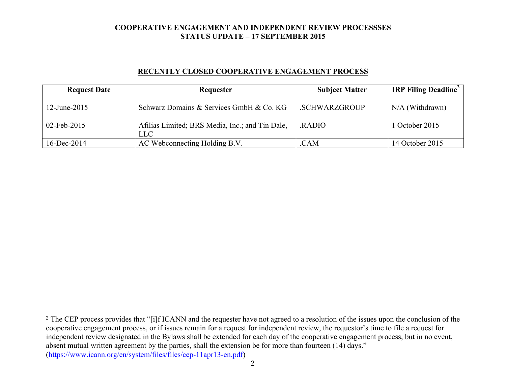### **RECENTLY CLOSED COOPERATIVE ENGAGEMENT PROCESS**

| <b>Request Date</b> | Requester                                       | <b>Subject Matter</b> | <b>IRP Filing Deadline</b> |
|---------------------|-------------------------------------------------|-----------------------|----------------------------|
|                     |                                                 |                       |                            |
| 12-June-2015        | Schwarz Domains & Services GmbH & Co. KG        | .SCHWARZGROUP         | $N/A$ (Withdrawn)          |
|                     |                                                 |                       |                            |
| 02-Feb-2015         | Afilias Limited; BRS Media, Inc.; and Tin Dale, | <b>RADIO</b>          | 1 October 2015             |
|                     | LLC                                             |                       |                            |
| $16$ -Dec-2014      | AC Webconnecting Holding B.V.                   | .CAM                  | 14 October 2015            |

 

<sup>&</sup>lt;sup>2</sup> The CEP process provides that "[i]f ICANN and the requester have not agreed to a resolution of the issues upon the conclusion of the cooperative engagement process, or if issues remain for a request for independent review, the requestor's time to file a request for independent review designated in the Bylaws shall be extended for each day of the cooperative engagement process, but in no event, absent mutual written agreement by the parties, shall the extension be for more than fourteen (14) days." (https://www.icann.org/en/system/files/files/cep-11apr13-en.pdf)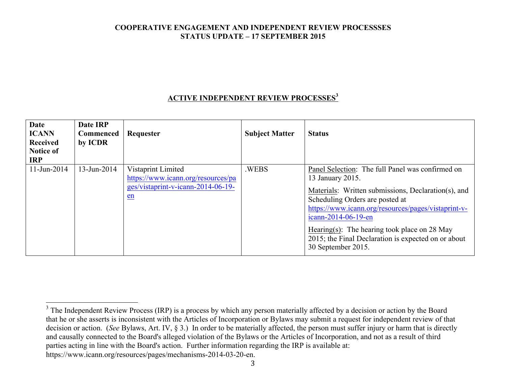## **ACTIVE INDEPENDENT REVIEW PROCESSES<sup>3</sup>**

| Date<br><b>ICANN</b><br><b>Received</b><br><b>Notice of</b><br><b>IRP</b> | Date IRP<br><b>Commenced</b><br>by ICDR | Requester                                                                                            | <b>Subject Matter</b> | <b>Status</b>                                                                                                                                                                                                                                                                                                                                                             |
|---------------------------------------------------------------------------|-----------------------------------------|------------------------------------------------------------------------------------------------------|-----------------------|---------------------------------------------------------------------------------------------------------------------------------------------------------------------------------------------------------------------------------------------------------------------------------------------------------------------------------------------------------------------------|
| $11$ -Jun-2014                                                            | $13$ -Jun-2014                          | Vistaprint Limited<br>https://www.icann.org/resources/pa<br>ges/vistaprint-v-icann-2014-06-19-<br>en | .WEBS                 | Panel Selection: The full Panel was confirmed on<br>13 January 2015.<br>Materials: Written submissions, Declaration(s), and<br>Scheduling Orders are posted at<br>https://www.icann.org/resources/pages/vistaprint-v-<br>icann-2014-06-19-en<br>Hearing(s): The hearing took place on 28 May<br>2015; the Final Declaration is expected on or about<br>30 September 2015. |

https://www.icann.org/resources/pages/mechanisms-2014-03-20-en.

 $3$  The Independent Review Process (IRP) is a process by which any person materially affected by a decision or action by the Board that he or she asserts is inconsistent with the Articles of Incorporation or Bylaws may submit a request for independent review of that decision or action. (*See* Bylaws, Art. IV, § 3.) In order to be materially affected, the person must suffer injury or harm that is directly and causally connected to the Board's alleged violation of the Bylaws or the Articles of Incorporation, and not as a result of third parties acting in line with the Board's action. Further information regarding the IRP is available at: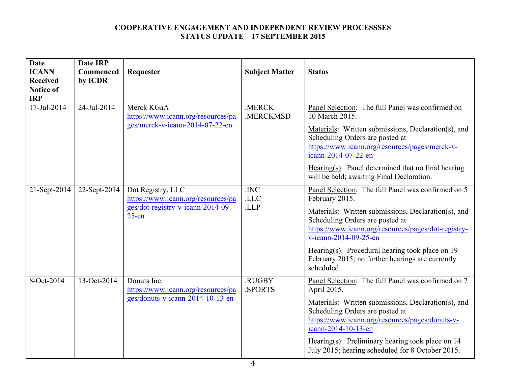| <b>Date</b>                    | <b>Date IRP</b> |                                                                                                          |                       |                                                                                                                                                                                                                                                                                                                                                                       |
|--------------------------------|-----------------|----------------------------------------------------------------------------------------------------------|-----------------------|-----------------------------------------------------------------------------------------------------------------------------------------------------------------------------------------------------------------------------------------------------------------------------------------------------------------------------------------------------------------------|
| <b>ICANN</b>                   | Commenced       | Requester                                                                                                | <b>Subject Matter</b> | <b>Status</b>                                                                                                                                                                                                                                                                                                                                                         |
| <b>Received</b>                | by ICDR         |                                                                                                          |                       |                                                                                                                                                                                                                                                                                                                                                                       |
| <b>Notice of</b><br><b>IRP</b> |                 |                                                                                                          |                       |                                                                                                                                                                                                                                                                                                                                                                       |
| 17-Jul-2014                    | 24-Jul-2014     | Merck KGaA<br>https://www.icann.org/resources/pa<br>ges/merck-v-icann-2014-07-22-en                      | .MERCK<br>.MERCKMSD   | Panel Selection: The full Panel was confirmed on<br>10 March 2015.<br>Materials: Written submissions, Declaration(s), and<br>Scheduling Orders are posted at<br>https://www.icann.org/resources/pages/merck-v-<br>icann-2014-07-22-en<br>Hearing $(s)$ : Panel determined that no final hearing<br>will be held; awaiting Final Declaration.                          |
| 21-Sept-2014                   | $22$ -Sept-2014 | Dot Registry, LLC<br>https://www.icann.org/resources/pa<br>ges/dot-registry-v-icann-2014-09-<br>$25$ -en | .INC<br>.LLC<br>.LLP  | Panel Selection: The full Panel was confirmed on 5<br>February 2015.<br>Materials: Written submissions, Declaration(s), and<br>Scheduling Orders are posted at<br>https://www.icann.org/resources/pages/dot-registry-<br>v-icann-2014-09-25-en<br>Hearing(s): Procedural hearing took place on $19$<br>February 2015; no further hearings are currently<br>scheduled. |
| 8-Oct-2014                     | 13-Oct-2014     | Donuts Inc.<br>https://www.icann.org/resources/pa<br>ges/donuts-v-icann-2014-10-13-en                    | .RUGBY<br>.SPORTS     | Panel Selection: The full Panel was confirmed on 7<br>April 2015.<br>Materials: Written submissions, Declaration(s), and<br>Scheduling Orders are posted at<br>https://www.icann.org/resources/pages/donuts-v-<br>icann-2014-10-13-en<br>Hearing(s): Preliminary hearing took place on $14$<br>July 2015; hearing scheduled for 8 October 2015.                       |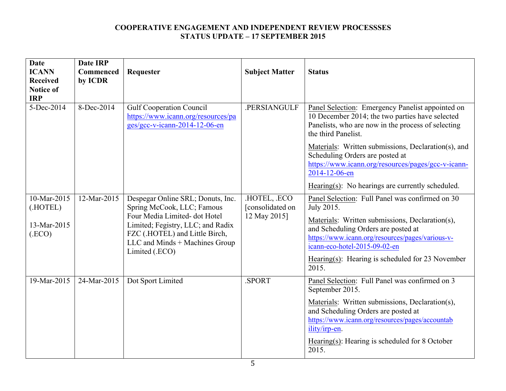| <b>Date</b><br><b>ICANN</b><br><b>Received</b><br><b>Notice of</b><br><b>IRP</b> | <b>Date IRP</b><br>Commenced<br>by ICDR | Requester                                                                                                                                                                                                                  | <b>Subject Matter</b>                          | <b>Status</b>                                                                                                                                                                                                                                                                                             |
|----------------------------------------------------------------------------------|-----------------------------------------|----------------------------------------------------------------------------------------------------------------------------------------------------------------------------------------------------------------------------|------------------------------------------------|-----------------------------------------------------------------------------------------------------------------------------------------------------------------------------------------------------------------------------------------------------------------------------------------------------------|
| 5-Dec-2014                                                                       | 8-Dec-2014                              | <b>Gulf Cooperation Council</b><br>https://www.icann.org/resources/pa<br>ges/gcc-v-icann-2014-12-06-en                                                                                                                     | .PERSIANGULF                                   | Panel Selection: Emergency Panelist appointed on<br>10 December 2014; the two parties have selected<br>Panelists, who are now in the process of selecting<br>the third Panelist.                                                                                                                          |
|                                                                                  |                                         |                                                                                                                                                                                                                            |                                                | Materials: Written submissions, Declaration(s), and<br>Scheduling Orders are posted at<br>https://www.icann.org/resources/pages/gcc-v-icann-<br>2014-12-06-en                                                                                                                                             |
|                                                                                  |                                         |                                                                                                                                                                                                                            |                                                | Hearing(s): No hearings are currently scheduled.                                                                                                                                                                                                                                                          |
| 10-Mar-2015<br>(.HOTEL)<br>13-Mar-2015<br>(ECO)                                  | 12-Mar-2015                             | Despegar Online SRL; Donuts, Inc.<br>Spring McCook, LLC; Famous<br>Four Media Limited-dot Hotel<br>Limited; Fegistry, LLC; and Radix<br>FZC (.HOTEL) and Little Birch,<br>LLC and Minds + Machines Group<br>Limited (.ECO) | HOTEL, ECO<br>[consolidated on<br>12 May 2015] | Panel Selection: Full Panel was confirmed on 30<br>July 2015.<br>Materials: Written submissions, Declaration(s),<br>and Scheduling Orders are posted at<br>https://www.icann.org/resources/pages/various-v-<br>icann-eco-hotel-2015-09-02-en<br>Hearing(s): Hearing is scheduled for 23 November<br>2015. |
| 19-Mar-2015                                                                      | 24-Mar-2015                             | Dot Sport Limited                                                                                                                                                                                                          | SPORT.                                         | Panel Selection: Full Panel was confirmed on 3<br>September 2015.<br>Materials: Written submissions, Declaration(s),<br>and Scheduling Orders are posted at<br>https://www.icann.org/resources/pages/accountab<br>ility/irp-en.<br>Hearing(s): Hearing is scheduled for 8 October<br>2015.                |